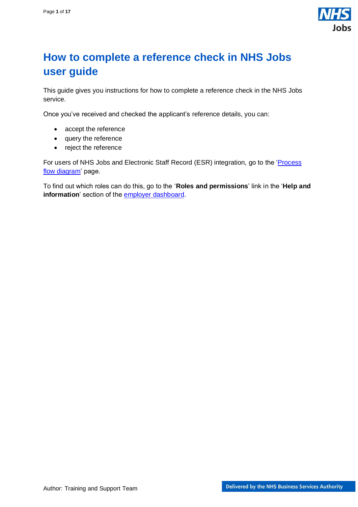

## <span id="page-0-0"></span>**How to complete a reference check in NHS Jobs user guide**

This guide gives you instructions for how to complete a reference check in the NHS Jobs service.

Once you've received and checked the applicant's reference details, you can:

- accept the reference
- query the reference
- reject the reference

For users of NHS Jobs and Electronic Staff Record (ESR) integration, go to the '*Process* [flow diagram'](#page-2-0) page.

To find out which roles can do this, go to the '**Roles and permissions**' link in the '**Help and information**' section of the **employer dashboard**.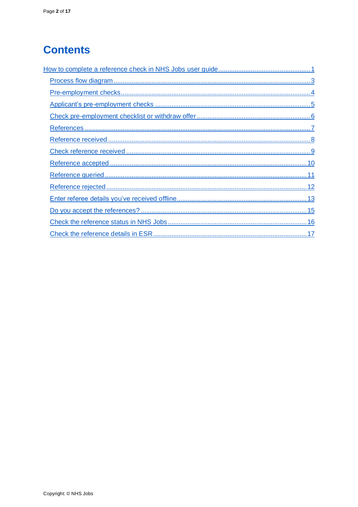# **Contents**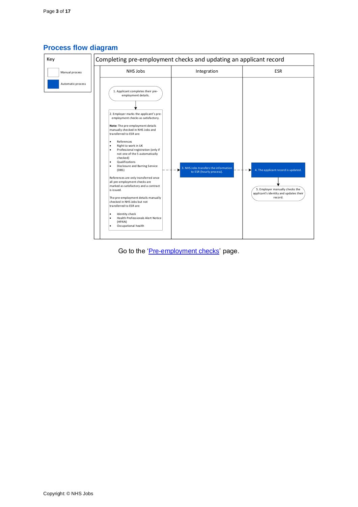

## <span id="page-2-0"></span>**Process flow diagram**

Go to the ['Pre-employment checks'](#page-3-0) page.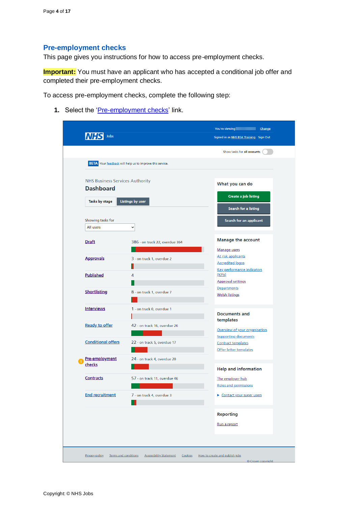## <span id="page-3-0"></span>**Pre-employment checks**

This page gives you instructions for how to access pre-employment checks.

**Important:** You must have an applicant who has accepted a conditional job offer and completed their pre-employment checks.

To access pre-employment checks, complete the following step:

1. Select the '*Pre-employment checks*' link.

| <b>NHS Business Services Authority</b><br><b>Dashboard</b> | <b>BETA</b> Your feedback will help us to improve this service. |                                                          |
|------------------------------------------------------------|-----------------------------------------------------------------|----------------------------------------------------------|
|                                                            |                                                                 |                                                          |
|                                                            |                                                                 | What you can do                                          |
|                                                            |                                                                 |                                                          |
| Tasks by stage                                             | Listings by user                                                | Create a job listing                                     |
|                                                            |                                                                 | Search for a listing                                     |
| Showing tasks for<br>All users                             | v                                                               | Search for an applicant                                  |
|                                                            |                                                                 |                                                          |
| <b>Draft</b>                                               | 386 - on track 22, overdue 364                                  | <b>Manage the account</b>                                |
|                                                            |                                                                 | Manage users                                             |
| <b>Approvals</b>                                           | 3 - on track 1, overdue 2                                       | At risk applicants<br><b>Accredited logos</b>            |
| <b>Published</b>                                           | 4                                                               | <b>Key performance indicators</b><br>(KPIs)              |
|                                                            |                                                                 | <b>Approval settings</b>                                 |
| <b>Shortlisting</b>                                        |                                                                 | <b>Departments</b>                                       |
|                                                            | 8 - on track 1, overdue 7                                       | <b>Welsh listings</b>                                    |
| <b>Interviews</b>                                          | 1 - on track 0, overdue 1                                       |                                                          |
|                                                            |                                                                 | <b>Documents and</b>                                     |
| <b>Ready to offer</b>                                      | 42 - on track 16, overdue 26                                    | templates                                                |
|                                                            |                                                                 | Overview of your organisation                            |
| <b>Conditional offers</b>                                  | 22 - on track 5, overdue 17                                     | <b>Supporting documents</b><br><b>Contract templates</b> |
|                                                            |                                                                 | Offer letter templates                                   |
| Pre-employment                                             | 24 - on track 4, overdue 20                                     |                                                          |
| checks                                                     |                                                                 | <b>Help and information</b>                              |
| <b>Contracts</b>                                           | 57 - on track 11, overdue 46                                    | The employer hub                                         |
|                                                            |                                                                 | Roles and permissions                                    |
| <b>End recruitment</b>                                     | 7 - on track 4, overdue 3                                       | Contact your super users                                 |
|                                                            |                                                                 |                                                          |
|                                                            |                                                                 | <b>Reporting</b>                                         |
|                                                            |                                                                 | Run a report                                             |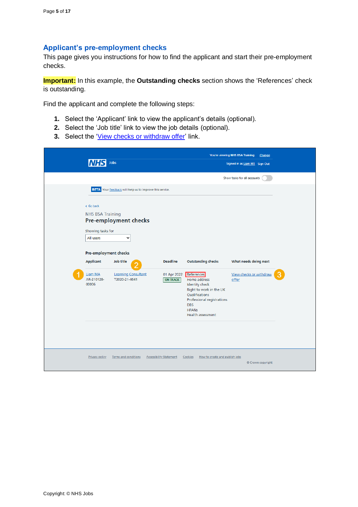## <span id="page-4-0"></span>**Applicant's pre-employment checks**

This page gives you instructions for how to find the applicant and start their pre-employment checks.

**Important:** In this example, the **Outstanding checks** section shows the 'References' check is outstanding.

Find the applicant and complete the following steps:

- **1.** Select the 'Applicant' link to view the applicant's details (optional).
- **2.** Select the 'Job title' link to view the job details (optional).
- **3.** Select the ['View checks or withdraw offer'](#page-5-0) link.

|                                            | Jobs                                                                                                                                                                         |                                |                                                                                                                                                                                          | You're viewing NHS BSA Training<br>Change<br>Signed in as Liam M1 Sign Out |  |
|--------------------------------------------|------------------------------------------------------------------------------------------------------------------------------------------------------------------------------|--------------------------------|------------------------------------------------------------------------------------------------------------------------------------------------------------------------------------------|----------------------------------------------------------------------------|--|
|                                            |                                                                                                                                                                              |                                |                                                                                                                                                                                          | Show tasks for all accounts                                                |  |
| < Go back<br>All users<br><b>Applicant</b> | BETA Your feedback will help us to improve this service.<br><b>NHS BSA Training</b><br>Pre-employment checks<br>Showing tasks for<br>v<br>Pre-employment checks<br>Job title | <b>Deadline</b>                | <b>Outstanding checks</b>                                                                                                                                                                | What needs doing next                                                      |  |
| Liam MA<br>AR-210128-<br>00006             | <b>Learning Consultant</b><br>T2020-21-4641                                                                                                                                  | 01 Apr 2022<br><b>ON TRACK</b> | References<br>Home address<br><b>Identity check</b><br>Right to work in the UK<br>Qualifications<br>Professional registrations<br><b>DBS</b><br><b>HPANs</b><br><b>Health assessment</b> | View checks or withdraw<br>offer                                           |  |
|                                            | Privacy policy<br>Terms and conditions                                                                                                                                       | <b>Accessibility Statement</b> | How to create and publish jobs<br>Cookies                                                                                                                                                | © Crown copyright                                                          |  |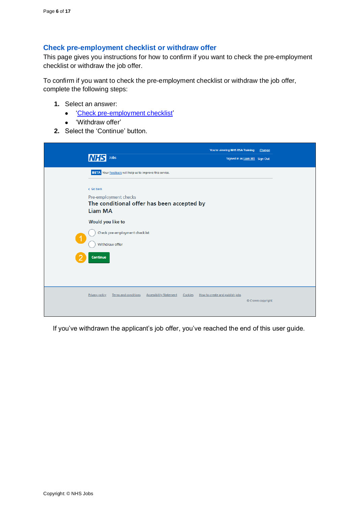#### <span id="page-5-0"></span>**Check pre-employment checklist or withdraw offer**

This page gives you instructions for how to confirm if you want to check the pre-employment checklist or withdraw the job offer.

To confirm if you want to check the pre-employment checklist or withdraw the job offer, complete the following steps:

- **1.** Select an answer:
	- ['Check pre-employment checklist'](#page-6-0)
	- 'Withdraw offer'
- **2.** Select the 'Continue' button.

|                      | Jobs<br><b>NHS</b>                                                                         | You're viewing NHS BSA Training<br>Signed in as Liam M1 Sign Out | Change            |
|----------------------|--------------------------------------------------------------------------------------------|------------------------------------------------------------------|-------------------|
|                      | BETA Your feedback will help us to improve this service.                                   |                                                                  |                   |
|                      | < Go back                                                                                  |                                                                  |                   |
|                      | Pre-employment checks                                                                      |                                                                  |                   |
|                      | The conditional offer has been accepted by                                                 |                                                                  |                   |
|                      | <b>Liam MA</b>                                                                             |                                                                  |                   |
|                      | Would you like to                                                                          |                                                                  |                   |
|                      | Check pre-employment checklist                                                             |                                                                  |                   |
| $\blacktriangleleft$ | Withdraw offer                                                                             |                                                                  |                   |
|                      |                                                                                            |                                                                  |                   |
|                      | Continue                                                                                   |                                                                  |                   |
|                      |                                                                                            |                                                                  |                   |
|                      |                                                                                            |                                                                  |                   |
|                      |                                                                                            |                                                                  |                   |
|                      | Privacy policy<br><b>Terms and conditions</b><br><b>Accessibility Statement</b><br>Cookies | How to create and publish jobs                                   |                   |
|                      |                                                                                            |                                                                  | © Crown copyright |
|                      |                                                                                            |                                                                  |                   |

If you've withdrawn the applicant's job offer, you've reached the end of this user guide.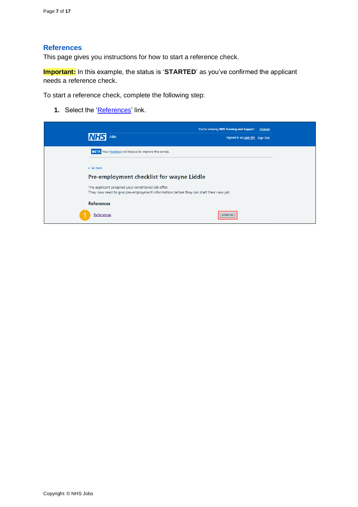#### <span id="page-6-0"></span>**References**

This page gives you instructions for how to start a reference check.

**Important:** In this example, the status is '**STARTED**' as you've confirmed the applicant needs a reference check.

To start a reference check, complete the following step:

**1.** Select the ['References'](#page-7-0) link.

| <b><i>SHIVE</i></b><br><b>Jobs</b>                                                                                                          | You're viewing NHS Training and Support Change<br>Signed in as Liam M1 Sign Out |
|---------------------------------------------------------------------------------------------------------------------------------------------|---------------------------------------------------------------------------------|
| BETA Your feedback will help us to improve this service.                                                                                    |                                                                                 |
| < Go back                                                                                                                                   |                                                                                 |
| Pre-employment checklist for wayne Liddle                                                                                                   |                                                                                 |
| The applicant accepted your conditional job offer.<br>They now need to give pre-employment information before they can start their new job. |                                                                                 |
| <b>References</b>                                                                                                                           |                                                                                 |
| References                                                                                                                                  | <b>TART</b>                                                                     |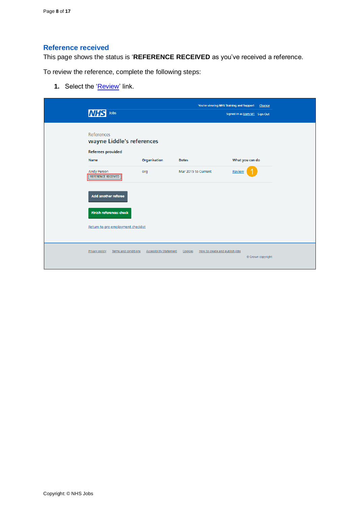## <span id="page-7-0"></span>**Reference received**

This page shows the status is '**REFERENCE RECEIVED** as you've received a reference.

To review the reference, complete the following steps:

**1.** Select the ['Review'](#page-8-0) link.

| <b>NHS</b><br>Jobs                                                  |                                | You're viewing NHS Training and Support   | Signed in as Liam M1 Sign Out | Change            |
|---------------------------------------------------------------------|--------------------------------|-------------------------------------------|-------------------------------|-------------------|
| References<br>wayne Liddle's references<br><b>Referees provided</b> |                                |                                           |                               |                   |
| Name                                                                | Organisation                   | <b>Dates</b>                              | What you can do               |                   |
| <b>Andy Person</b><br><b>REFERENCE RECEIVED</b>                     | org                            | Mar 2015 to Current                       | Review                        |                   |
| <b>Add another referee</b>                                          |                                |                                           |                               |                   |
| <b>Finish references check</b>                                      |                                |                                           |                               |                   |
| Return to pre-employment checklist                                  |                                |                                           |                               |                   |
| Privacy policy<br>Terms and conditions                              | <b>Accessibility Statement</b> | How to create and publish jobs<br>Cookies |                               | © Crown copyright |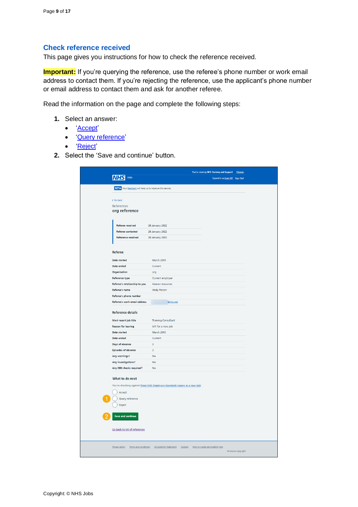#### <span id="page-8-0"></span>**Check reference received**

This page gives you instructions for how to check the reference received.

**Important:** If you're querying the reference, use the referee's phone number or work email address to contact them. If you're rejecting the reference, use the applicant's phone number or email address to contact them and ask for another referee.

Read the information on the page and complete the following steps:

- **1.** Select an answer:
	- ['Accept'](#page-9-0)
	- ['Query reference'](#page-10-0)
	- ['Reject'](#page-11-0)
- **2.** Select the 'Save and continue' button.

|                                                          |                                                                                                    | You're viewing NHS Training and Support Change |                               |  |
|----------------------------------------------------------|----------------------------------------------------------------------------------------------------|------------------------------------------------|-------------------------------|--|
| Jobs                                                     |                                                                                                    |                                                | Signed in as Liam M1 Sign Out |  |
| BETA Your feedback will help us to improve this service. |                                                                                                    |                                                |                               |  |
|                                                          |                                                                                                    |                                                |                               |  |
| < Go back                                                |                                                                                                    |                                                |                               |  |
| References<br>org reference                              |                                                                                                    |                                                |                               |  |
|                                                          |                                                                                                    |                                                |                               |  |
|                                                          |                                                                                                    |                                                |                               |  |
| Referee received<br><b>Referee contacted</b>             | <b>28 January 2022</b><br>28 January 2022                                                          |                                                |                               |  |
| Reference received                                       | <b>28 January 2022</b>                                                                             |                                                |                               |  |
|                                                          |                                                                                                    |                                                |                               |  |
| Referee                                                  |                                                                                                    |                                                |                               |  |
|                                                          |                                                                                                    |                                                |                               |  |
| Date started<br>Date ended                               | March 2015<br>Current                                                                              |                                                |                               |  |
| Organisation                                             | org                                                                                                |                                                |                               |  |
| <b>Reference type</b>                                    | Current employer                                                                                   |                                                |                               |  |
| Referee's relationship to you                            | Human resources                                                                                    |                                                |                               |  |
| <b>Referee's name</b>                                    | Andy Person                                                                                        |                                                |                               |  |
| Referee's phone number                                   |                                                                                                    |                                                |                               |  |
| Referee's work email address                             | @nhs.net                                                                                           |                                                |                               |  |
| <b>Reference details</b>                                 |                                                                                                    |                                                |                               |  |
| Most recent job title                                    | <b>Training Consultant</b>                                                                         |                                                |                               |  |
| <b>Reason for leaving</b>                                | left for a new job                                                                                 |                                                |                               |  |
| Date started                                             | March 2015                                                                                         |                                                |                               |  |
| Date ended                                               | Current<br>$\overline{2}$                                                                          |                                                |                               |  |
| Days of absence<br><b>Episodes of absence</b>            | $\overline{2}$                                                                                     |                                                |                               |  |
| Any warnings?                                            | <b>No</b>                                                                                          |                                                |                               |  |
| Any investigations?                                      | <b>No</b>                                                                                          |                                                |                               |  |
| Any DBS checks required?                                 | <b>No</b>                                                                                          |                                                |                               |  |
|                                                          |                                                                                                    |                                                |                               |  |
| What to do next                                          |                                                                                                    |                                                |                               |  |
|                                                          | You're checking against these NHS Employers standards (opens in a new tab)                         |                                                |                               |  |
| Accept                                                   |                                                                                                    |                                                |                               |  |
| Query reference                                          |                                                                                                    |                                                |                               |  |
| Reject                                                   |                                                                                                    |                                                |                               |  |
| <b>Save and continue</b>                                 |                                                                                                    |                                                |                               |  |
| Go back to list of references                            |                                                                                                    |                                                |                               |  |
|                                                          |                                                                                                    |                                                |                               |  |
|                                                          | Privacy policy Terms and conditions Accessibility Statement Cookies How to create and publish jobs |                                                | Crown copyright               |  |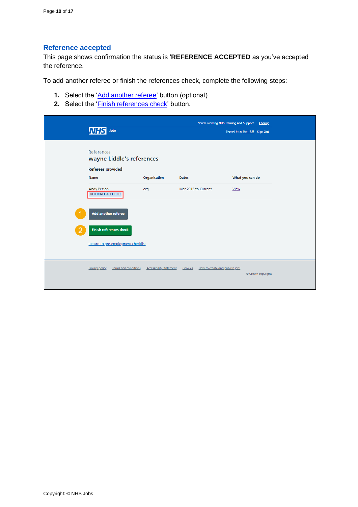#### <span id="page-9-0"></span>**Reference accepted**

This page shows confirmation the status is '**REFERENCE ACCEPTED** as you've accepted the reference.

To add another referee or finish the references check, complete the following steps:

- **1.** Select the '*Add another referee'* button (optional)
- 2. Select the '*Finish references check'* button.

| <b>NHS</b><br>Jobs                                                          |                                | You're viewing NHS Training and Support   | Change<br>Signed in as Liam M1 Sign Out |
|-----------------------------------------------------------------------------|--------------------------------|-------------------------------------------|-----------------------------------------|
| <b>References</b><br>wayne Liddle's references<br>Referees provided<br>Name | Organisation                   | <b>Dates</b>                              | What you can do                         |
| <b>Andy Person</b><br><b>REFERENCE ACCEPTED</b>                             | org                            | Mar 2015 to Current                       | View                                    |
| Add another referee                                                         |                                |                                           |                                         |
| <b>Finish references check</b><br>Return to pre-employment checklist        |                                |                                           |                                         |
| Terms and conditions<br><b>Privacy policy</b>                               | <b>Accessibility Statement</b> | Cookies<br>How to create and publish jobs | © Crown copyright                       |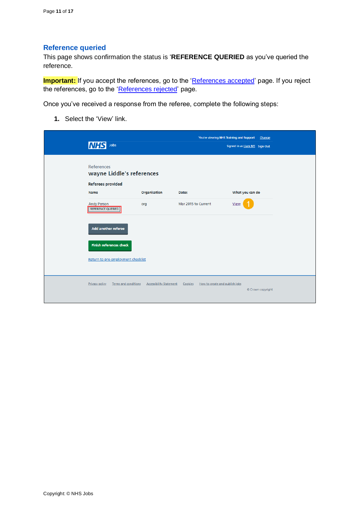## <span id="page-10-0"></span>**Reference queried**

This page shows confirmation the status is '**REFERENCE QUERIED** as you've queried the reference.

**Important:** If you accept the references, go to the ['References accepted'](#page-9-0) page. If you reject the references, go to the ['References rejected'](#page-11-0) page.

Once you've received a response from the referee, complete the following steps:

**1.** Select the 'View' link.

| Jobs<br>ΙNΙ                                                         |                                | You're viewing NHS Training and Support   | Change<br>Signed in as Liam M1 Sign Out |
|---------------------------------------------------------------------|--------------------------------|-------------------------------------------|-----------------------------------------|
| <b>References</b><br>wayne Liddle's references<br>Referees provided |                                |                                           |                                         |
| Name                                                                | Organisation                   | Dates                                     | What you can do                         |
| <b>Andy Person</b><br><b>REFERENCE QUERIED</b>                      | org                            | Mar 2015 to Current                       | View                                    |
| Add another referee                                                 |                                |                                           |                                         |
| <b>Finish references check</b>                                      |                                |                                           |                                         |
| Return to pre-employment checklist                                  |                                |                                           |                                         |
| Privacy policy<br>Terms and conditions                              | <b>Accessibility Statement</b> | How to create and publish jobs<br>Cookies | © Crown copyright                       |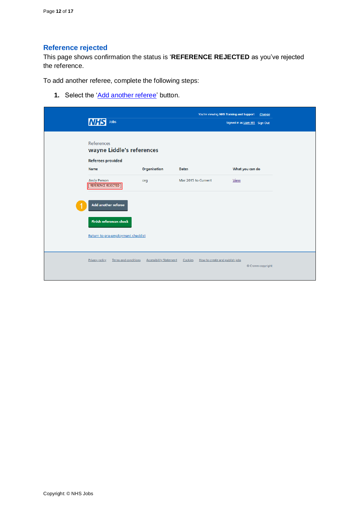## <span id="page-11-0"></span>**Reference rejected**

This page shows confirmation the status is '**REFERENCE REJECTED** as you've rejected the reference.

To add another referee, complete the following steps:

1. Select the ['Add another referee'](#page-12-0) button.

| <b>NHS</b><br>Jobs                                                  |                                | You're viewing NHS Training and Support   | Change<br>Signed in as Liam M1 Sign Out |
|---------------------------------------------------------------------|--------------------------------|-------------------------------------------|-----------------------------------------|
| References<br>wayne Liddle's references<br><b>Referees provided</b> |                                |                                           |                                         |
| Name<br><b>Andy Person</b>                                          | Organisation                   | <b>Dates</b><br>Mar 2015 to Current       | What you can do<br>View                 |
| <b>REFERENCE REJECTED</b><br>Add another referee                    | org                            |                                           |                                         |
| <b>Finish references check</b>                                      |                                |                                           |                                         |
| Return to pre-employment checklist                                  |                                |                                           |                                         |
| Privacy policy<br><b>Terms and conditions</b>                       | <b>Accessibility Statement</b> | Cookies<br>How to create and publish jobs | © Crown copyright                       |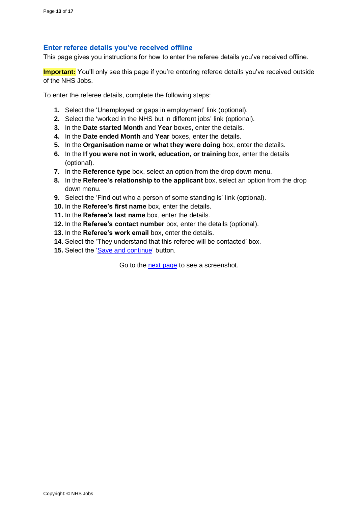#### <span id="page-12-0"></span>**Enter referee details you've received offline**

This page gives you instructions for how to enter the referee details you've received offline.

**Important:** You'll only see this page if you're entering referee details you've received outside of the NHS Jobs.

To enter the referee details, complete the following steps:

- **1.** Select the 'Unemployed or gaps in employment' link (optional).
- **2.** Select the 'worked in the NHS but in different jobs' link (optional).
- **3.** In the **Date started Month** and **Year** boxes, enter the details.
- **4.** In the **Date ended Month** and **Year** boxes, enter the details.
- **5.** In the **Organisation name or what they were doing** box, enter the details.
- **6.** In the **If you were not in work, education, or training** box, enter the details (optional).
- **7.** In the **Reference type** box, select an option from the drop down menu.
- **8.** In the **Referee's relationship to the applicant** box, select an option from the drop down menu.
- **9.** Select the 'Find out who a person of some standing is' link (optional).
- **10.** In the **Referee's first name** box, enter the details.
- **11.** In the **Referee's last name** box, enter the details.
- **12.** In the **Referee's contact number** box, enter the details (optional).
- **13.** In the **Referee's work email** box, enter the details.
- **14.** Select the 'They understand that this referee will be contacted' box.
- 15. Select the ['Save and continue'](#page-7-0) button.

Go to the [next page](#page-13-0) to see a screenshot.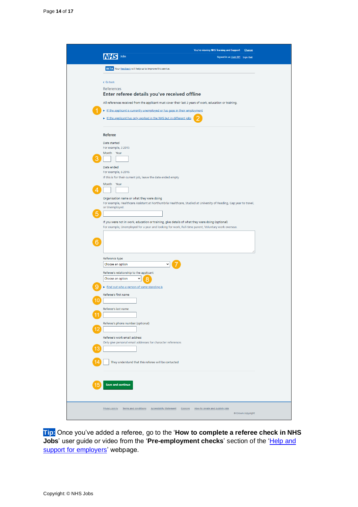<span id="page-13-0"></span>

**Tip:** Once you've added a referee, go to the '**How to complete a referee check in NHS Jobs**' user guide or video from the '**Pre-employment checks**' section of the ['Help and](https://www.nhsbsa.nhs.uk/new-nhs-jobs-service/help-and-support-employers)  [support for employers'](https://www.nhsbsa.nhs.uk/new-nhs-jobs-service/help-and-support-employers) webpage.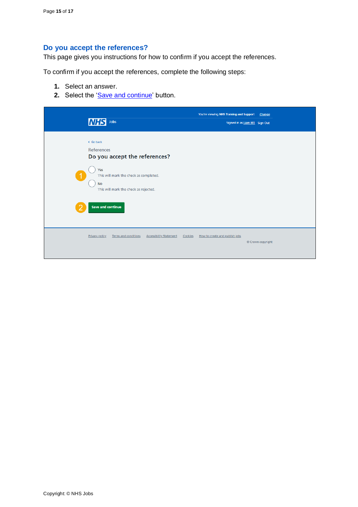## <span id="page-14-0"></span>**Do you accept the references?**

This page gives you instructions for how to confirm if you accept the references.

To confirm if you accept the references, complete the following steps:

- **1.** Select an answer.
- **2.** Select the ['Save and continue'](#page-15-0) button.

| <b>NHS</b>                                                                                      | Jobs                                                                                                             |                                |         | You're viewing NHS Training and Support<br>Signed in as Liam M1 Sign Out | Change            |
|-------------------------------------------------------------------------------------------------|------------------------------------------------------------------------------------------------------------------|--------------------------------|---------|--------------------------------------------------------------------------|-------------------|
| < Go back<br>References<br>Yes<br>$\blacktriangleleft$<br><b>No</b><br><b>Save and continue</b> | Do you accept the references?<br>This will mark the check as completed.<br>This will mark the check as rejected. |                                |         |                                                                          |                   |
| <b>Privacy policy</b>                                                                           | Terms and conditions                                                                                             | <b>Accessibility Statement</b> | Cookies | How to create and publish jobs                                           | © Crown copyright |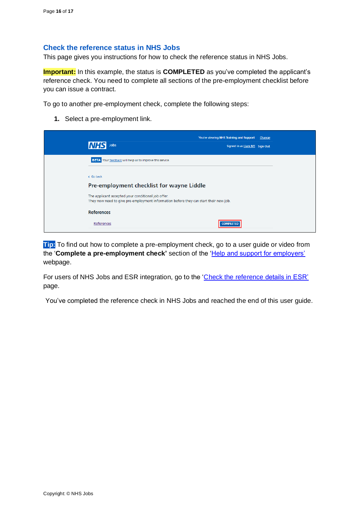#### <span id="page-15-0"></span>**Check the reference status in NHS Jobs**

This page gives you instructions for how to check the reference status in NHS Jobs.

**Important:** In this example, the status is **COMPLETED** as you've completed the applicant's reference check. You need to complete all sections of the pre-employment checklist before you can issue a contract.

To go to another pre-employment check, complete the following steps:

**1.** Select a pre-employment link.



**Tip:** To find out how to complete a pre-employment check, go to a user guide or video from the '**Complete a pre-employment check'** section of the ['Help and support for employers'](https://www.nhsbsa.nhs.uk/new-nhs-jobs-service/help-and-support-employers) webpage.

For users of NHS Jobs and ESR integration, go to the ['Check the reference details in ESR'](#page-16-0) page.

You've completed the reference check in NHS Jobs and reached the end of this user guide.